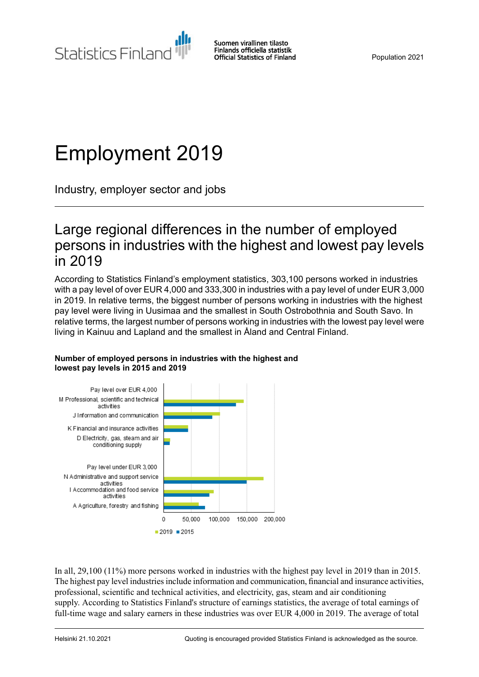Statistics Finland

Suomen virallinen tilasto Finlands officiella statistik **Official Statistics of Finland** 

Population 2021

# Employment 2019

Industry, employer sector and jobs

### Large regional differences in the number of employed persons in industries with the highest and lowest pay levels in 2019

According to Statistics Finland's employment statistics, 303,100 persons worked in industries with a pay level of over EUR 4,000 and 333,300 in industries with a pay level of under EUR 3,000 in 2019. In relative terms, the biggest number of persons working in industries with the highest pay level were living in Uusimaa and the smallest in South Ostrobothnia and South Savo. In relative terms, the largest number of persons working in industries with the lowest pay level were living in Kainuu and Lapland and the smallest in Åland and Central Finland.



#### **Number of employed persons in industries with the highest and lowest pay levels in 2015 and 2019**

In all, 29,100 (11%) more persons worked in industries with the highest pay level in 2019 than in 2015. The highest pay level industries include information and communication, financial and insurance activities, professional, scientific and technical activities, and electricity, gas, steam and air conditioning supply. According to Statistics Finland's structure of earnings statistics, the average of total earnings of full-time wage and salary earners in these industries was over EUR 4,000 in 2019. The average of total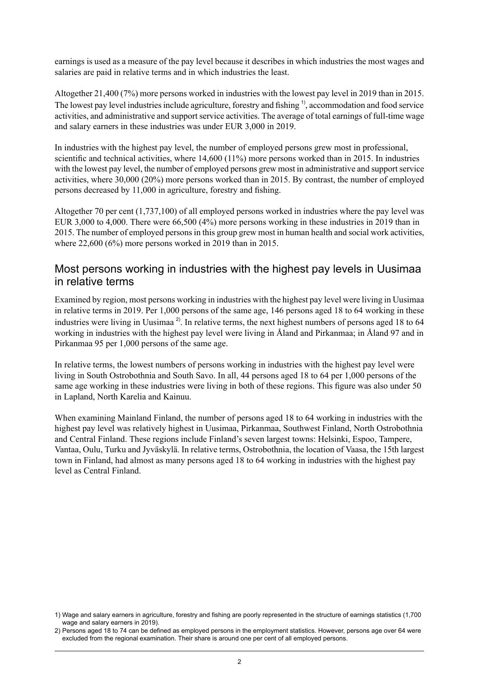earnings is used as a measure of the pay level because it describes in which industries the most wages and salaries are paid in relative terms and in which industries the least.

Altogether 21,400 (7%) more persons worked in industries with the lowest pay level in 2019 than in 2015. The lowest pay level industries include agriculture, forestry and fishing <sup>1</sup>, accommodation and food service activities, and administrative and support service activities. The average of total earnings of full-time wage and salary earners in these industries was under EUR 3,000 in 2019.

In industries with the highest pay level, the number of employed persons grew most in professional, scientific and technical activities, where 14,600 (11%) more persons worked than in 2015. In industries with the lowest pay level, the number of employed persons grew most in administrative and support service activities, where 30,000 (20%) more persons worked than in 2015. By contrast, the number of employed persons decreased by 11,000 in agriculture, forestry and fishing.

Altogether 70 per cent (1,737,100) of all employed persons worked in industries where the pay level was EUR 3,000 to 4,000. There were 66,500 (4%) more persons working in these industries in 2019 than in 2015. The number of employed persons in this group grew most in human health and social work activities, where 22,600 (6%) more persons worked in 2019 than in 2015.

### Most persons working in industries with the highest pay levels in Uusimaa in relative terms

Examined by region, most persons working in industries with the highest pay level were living in Uusimaa in relative terms in 2019. Per 1,000 persons of the same age, 146 persons aged 18 to 64 working in these industries were living in Uusimaa<sup>2</sup>. In relative terms, the next highest numbers of persons aged 18 to 64 working in industries with the highest pay level were living in Åland and Pirkanmaa; in Åland 97 and in Pirkanmaa 95 per 1,000 persons of the same age.

In relative terms, the lowest numbers of persons working in industries with the highest pay level were living in South Ostrobothnia and South Savo. In all, 44 persons aged 18 to 64 per 1,000 persons of the same age working in these industries were living in both of these regions. This figure was also under 50 in Lapland, North Karelia and Kainuu.

When examining Mainland Finland, the number of persons aged 18 to 64 working in industries with the highest pay level was relatively highest in Uusimaa, Pirkanmaa, Southwest Finland, North Ostrobothnia and Central Finland. These regions include Finland's seven largest towns: Helsinki, Espoo, Tampere, Vantaa, Oulu, Turku and Jyväskylä. In relative terms, Ostrobothnia, the location of Vaasa, the 15th largest town in Finland, had almost as many persons aged 18 to 64 working in industries with the highest pay level as Central Finland.

Wage and salary earners in agriculture, forestry and fishing are poorly represented in the structure of earnings statistics (1,700 1) wage and salary earners in 2019).

Persons aged 18 to 74 can be defined as employed persons in the employment statistics. However, persons age over 64 were 2) excluded from the regional examination. Their share is around one per cent of all employed persons.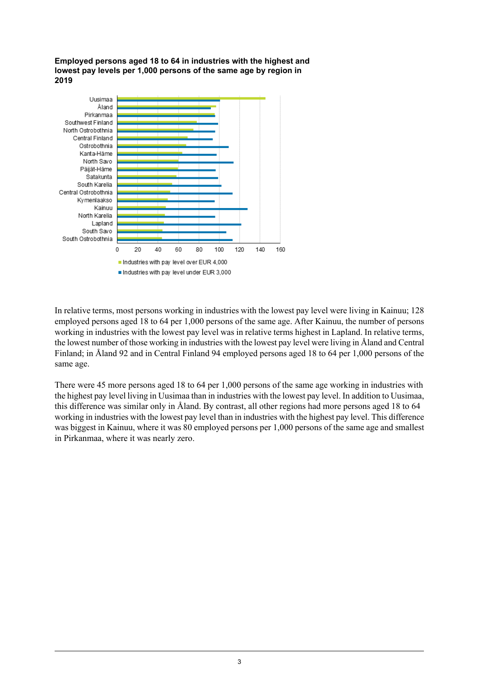**Employed persons aged 18 to 64 in industries with the highest and lowest pay levels per 1,000 persons of the same age by region in 2019**



In relative terms, most persons working in industries with the lowest pay level were living in Kainuu; 128 employed persons aged 18 to 64 per 1,000 persons of the same age. After Kainuu, the number of persons working in industries with the lowest pay level was in relative terms highest in Lapland. In relative terms, the lowest number of those working in industries with the lowest pay level were living in Åland and Central Finland; in Åland 92 and in Central Finland 94 employed persons aged 18 to 64 per 1,000 persons of the same age.

There were 45 more persons aged 18 to 64 per 1,000 persons of the same age working in industries with the highest pay level living in Uusimaa than in industries with the lowest pay level. In addition to Uusimaa, this difference was similar only in Åland. By contrast, all other regions had more persons aged 18 to 64 working in industries with the lowest pay level than in industries with the highest pay level. This difference was biggest in Kainuu, where it was 80 employed persons per 1,000 persons of the same age and smallest in Pirkanmaa, where it was nearly zero.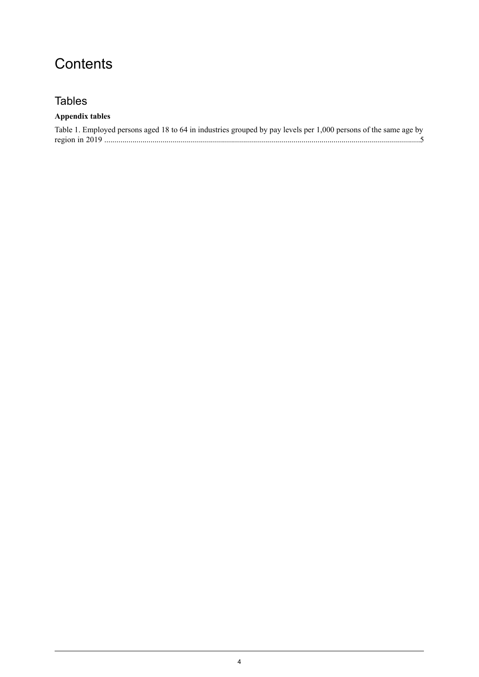## **Contents**

### **Tables**

#### **Appendix tables**

| Table 1. Employed persons aged 18 to 64 in industries grouped by pay levels per 1,000 persons of the same age by |  |
|------------------------------------------------------------------------------------------------------------------|--|
|                                                                                                                  |  |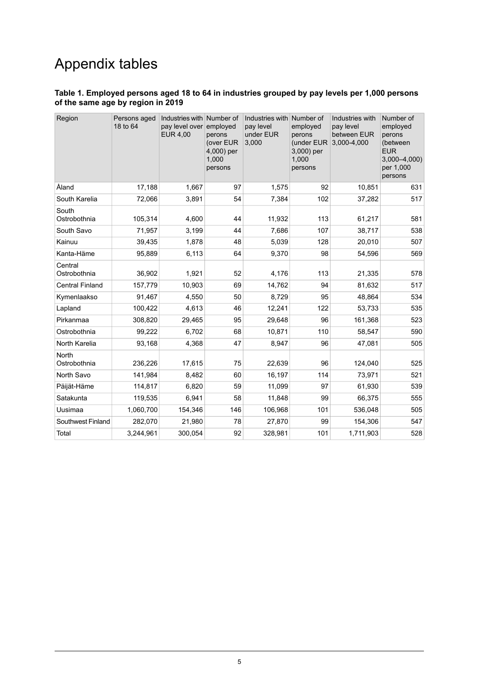# Appendix tables

#### <span id="page-4-0"></span>**Table 1. Employed persons aged 18 to 64 in industries grouped by pay levels per 1,000 persons of the same age by region in 2019**

| Region                  | Persons aged<br>18 to 64 | Industries with Number of<br>pay level over<br><b>EUR 4,00</b> | employed<br>perons<br>(over EUR<br>4,000) per<br>1,000<br>persons | Industries with Number of<br>pay level<br>under EUR<br>3,000 | employed<br>perons<br>(under EUR<br>3,000) per<br>1,000<br>persons | Industries with<br>pay level<br>between EUR<br>3,000-4,000 | Number of<br>employed<br>perons<br>(between<br><b>EUR</b><br>$3,000 - 4,000$<br>per 1,000<br>persons |
|-------------------------|--------------------------|----------------------------------------------------------------|-------------------------------------------------------------------|--------------------------------------------------------------|--------------------------------------------------------------------|------------------------------------------------------------|------------------------------------------------------------------------------------------------------|
| Åland                   | 17,188                   | 1,667                                                          | 97                                                                | 1,575                                                        | 92                                                                 | 10,851                                                     | 631                                                                                                  |
| South Karelia           | 72,066                   | 3,891                                                          | 54                                                                | 7,384                                                        | 102                                                                | 37,282                                                     | 517                                                                                                  |
| South<br>Ostrobothnia   | 105,314                  | 4,600                                                          | 44                                                                | 11,932                                                       | 113                                                                | 61,217                                                     | 581                                                                                                  |
| South Savo              | 71,957                   | 3,199                                                          | 44                                                                | 7,686                                                        | 107                                                                | 38,717                                                     | 538                                                                                                  |
| Kainuu                  | 39,435                   | 1,878                                                          | 48                                                                | 5,039                                                        | 128                                                                | 20,010                                                     | 507                                                                                                  |
| Kanta-Häme              | 95.889                   | 6.113                                                          | 64                                                                | 9,370                                                        | 98                                                                 | 54,596                                                     | 569                                                                                                  |
| Central<br>Ostrobothnia | 36,902                   | 1,921                                                          | 52                                                                | 4,176                                                        | 113                                                                | 21,335                                                     | 578                                                                                                  |
| <b>Central Finland</b>  | 157,779                  | 10,903                                                         | 69                                                                | 14,762                                                       | 94                                                                 | 81,632                                                     | 517                                                                                                  |
| Kymenlaakso             | 91,467                   | 4,550                                                          | 50                                                                | 8,729                                                        | 95                                                                 | 48,864                                                     | 534                                                                                                  |
| Lapland                 | 100,422                  | 4,613                                                          | 46                                                                | 12,241                                                       | 122                                                                | 53,733                                                     | 535                                                                                                  |
| Pirkanmaa               | 308,820                  | 29,465                                                         | 95                                                                | 29,648                                                       | 96                                                                 | 161,368                                                    | 523                                                                                                  |
| Ostrobothnia            | 99,222                   | 6,702                                                          | 68                                                                | 10,871                                                       | 110                                                                | 58,547                                                     | 590                                                                                                  |
| North Karelia           | 93,168                   | 4,368                                                          | 47                                                                | 8,947                                                        | 96                                                                 | 47,081                                                     | 505                                                                                                  |
| North<br>Ostrobothnia   | 236,226                  | 17,615                                                         | 75                                                                | 22,639                                                       | 96                                                                 | 124,040                                                    | 525                                                                                                  |
| North Savo              | 141,984                  | 8,482                                                          | 60                                                                | 16,197                                                       | 114                                                                | 73,971                                                     | 521                                                                                                  |
| Päijät-Häme             | 114,817                  | 6,820                                                          | 59                                                                | 11,099                                                       | 97                                                                 | 61,930                                                     | 539                                                                                                  |
| Satakunta               | 119,535                  | 6,941                                                          | 58                                                                | 11,848                                                       | 99                                                                 | 66,375                                                     | 555                                                                                                  |
| Uusimaa                 | 1,060,700                | 154,346                                                        | 146                                                               | 106,968                                                      | 101                                                                | 536,048                                                    | 505                                                                                                  |
| Southwest Finland       | 282,070                  | 21,980                                                         | 78                                                                | 27,870                                                       | 99                                                                 | 154,306                                                    | 547                                                                                                  |
| Total                   | 3,244,961                | 300,054                                                        | 92                                                                | 328,981                                                      | 101                                                                | 1,711,903                                                  | 528                                                                                                  |